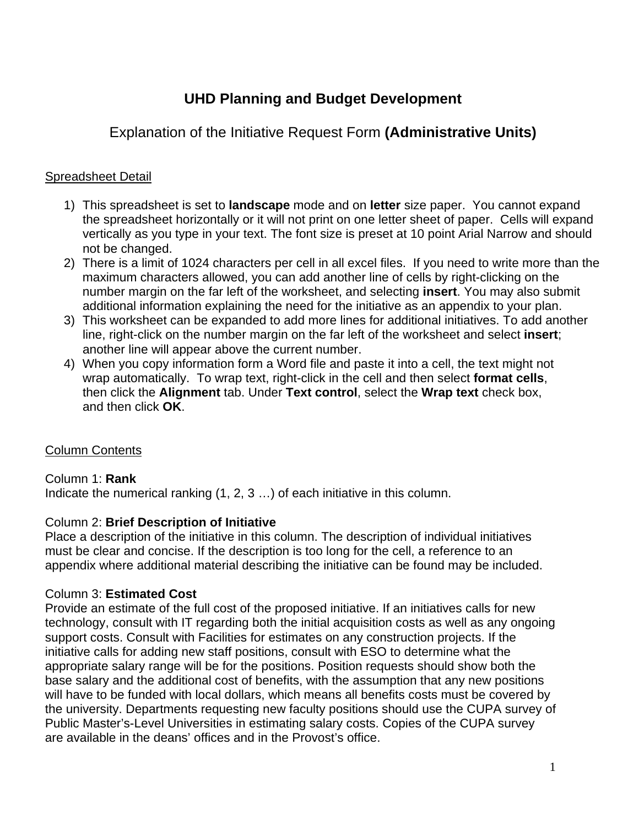# **UHD Planning and Budget Development**

## Explanation of the Initiative Request Form **(Administrative Units)**

## Spreadsheet Detail

- 1) This spreadsheet is set to **landscape** mode and on **letter** size paper. You cannot expand the spreadsheet horizontally or it will not print on one letter sheet of paper. Cells will expand vertically as you type in your text. The font size is preset at 10 point Arial Narrow and should not be changed.
- 2) There is a limit of 1024 characters per cell in all excel files. If you need to write more than the maximum characters allowed, you can add another line of cells by right-clicking on the number margin on the far left of the worksheet, and selecting **insert**. You may also submit additional information explaining the need for the initiative as an appendix to your plan.
- 3) This worksheet can be expanded to add more lines for additional initiatives. To add another line, right-click on the number margin on the far left of the worksheet and select **insert**; another line will appear above the current number.
- 4) When you copy information form a Word file and paste it into a cell, the text might not wrap automatically. To wrap text, right-click in the cell and then select **format cells**, then click the **Alignment** tab. Under **Text control**, select the **Wrap text** check box, and then click **OK**.

## Column Contents

## Column 1: **Rank**

Indicate the numerical ranking (1, 2, 3 …) of each initiative in this column.

#### Column 2: **Brief Description of Initiative**

Place a description of the initiative in this column. The description of individual initiatives must be clear and concise. If the description is too long for the cell, a reference to an appendix where additional material describing the initiative can be found may be included.

## Column 3: **Estimated Cost**

Provide an estimate of the full cost of the proposed initiative. If an initiatives calls for new technology, consult with IT regarding both the initial acquisition costs as well as any ongoing support costs. Consult with Facilities for estimates on any construction projects. If the initiative calls for adding new staff positions, consult with ESO to determine what the appropriate salary range will be for the positions. Position requests should show both the base salary and the additional cost of benefits, with the assumption that any new positions will have to be funded with local dollars, which means all benefits costs must be covered by the university. Departments requesting new faculty positions should use the CUPA survey of Public Master's-Level Universities in estimating salary costs. Copies of the CUPA survey are available in the deans' offices and in the Provost's office.